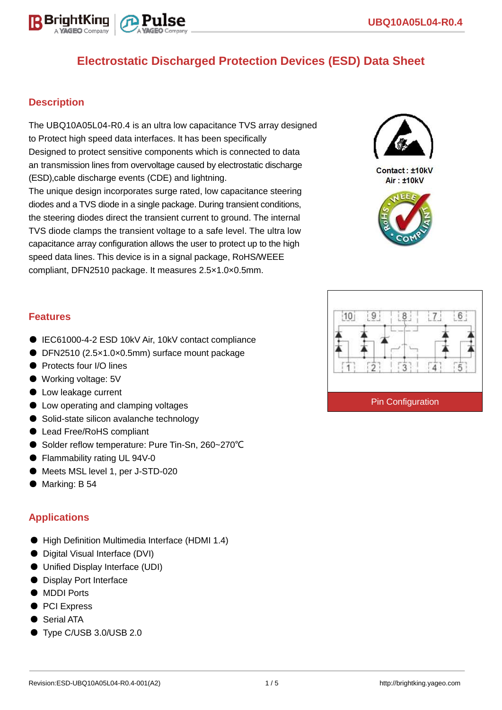

## **Description**

The UBQ10A05L04-R0.4 is an ultra low capacitance TVS array designed to Protect high speed data interfaces. It has been specifically Designed to protect sensitive components which is connected to data an transmission lines from overvoltage caused by electrostatic discharge (ESD),cable discharge events (CDE) and lightning. The unique design incorporates surge rated, low capacitance steering diodes and a TVS diode in a single package. During transient conditions, the steering diodes direct the transient current to ground. The internal TVS diode clamps the transient voltage to a safe level. The ultra low capacitance array configuration allows the user to protect up to the high speed data lines. This device is in a signal package, RoHS/WEEE compliant, DFN2510 package. It measures 2.5×1.0×0.5mm.



Contact: ±10kV Air: ±10kV



### **Features**

- IEC61000-4-2 ESD 10kV Air, 10kV contact compliance
- DFN2510 (2.5×1.0×0.5mm) surface mount package
- Protects four I/O lines
- Working voltage: 5V
- Low leakage current
- Low operating and clamping voltages
- Solid-state silicon avalanche technology
- Lead Free/RoHS compliant
- Solder reflow temperature: Pure Tin-Sn, 260~270°C
- Flammability rating UL 94V-0
- Meets MSL level 1, per J-STD-020
- Marking: B 54

### **Applications**

- High Definition Multimedia Interface (HDMI 1.4)
- Digital Visual Interface (DVI)
- Unified Display Interface (UDI)
- Display Port Interface
- MDDI Ports
- PCI Express
- Serial ATA
- Type C/USB 3.0/USB 2.0

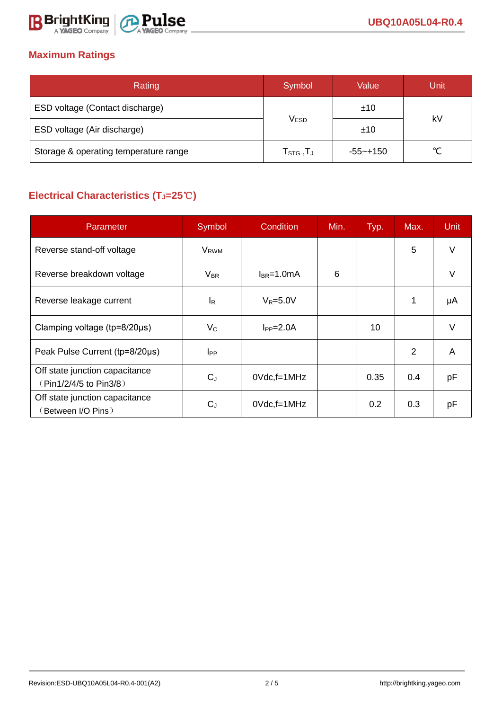

## **Maximum Ratings**

| Rating                                | Symbol                     | Value       | Unit   |  |
|---------------------------------------|----------------------------|-------------|--------|--|
| ESD voltage (Contact discharge)       |                            | ±10         |        |  |
| ESD voltage (Air discharge)           | <b>VESD</b>                | ±10         | kV     |  |
| Storage & operating temperature range | ${\sf T}_{\text{STG}}$ ,TJ | $-55$ ~+150 | $\sim$ |  |

# **Electrical Characteristics (TJ=25**℃**)**

| Parameter                                                | Symbol                  | <b>Condition</b><br>Min. |   | Typ. | Max. | Unit |
|----------------------------------------------------------|-------------------------|--------------------------|---|------|------|------|
| Reverse stand-off voltage                                | <b>V</b> <sub>RWM</sub> |                          |   |      | 5    | v    |
| Reverse breakdown voltage                                | $V_{BR}$                | $l_{BR}$ =1.0mA          | 6 |      |      | V    |
| Reverse leakage current                                  | IR                      | $V_R = 5.0V$             |   |      | 1    | μA   |
| Clamping voltage ( $tp = 8/20 \mu s$ )                   | $V_C$                   | $I_{PP} = 2.0A$          |   | 10   |      | v    |
| Peak Pulse Current (tp=8/20µs)                           | $_{\rm lPP}$            |                          |   |      | 2    | A    |
| Off state junction capacitance<br>(Pin1/2/4/5 to Pin3/8) | $C_J$                   | $0$ Vdc, f=1MHz          |   | 0.35 | 0.4  | рF   |
| Off state junction capacitance<br>(Between I/O Pins)     | $C_{J}$                 | 0Vdc,f=1MHz              |   | 0.2  | 0.3  | рF   |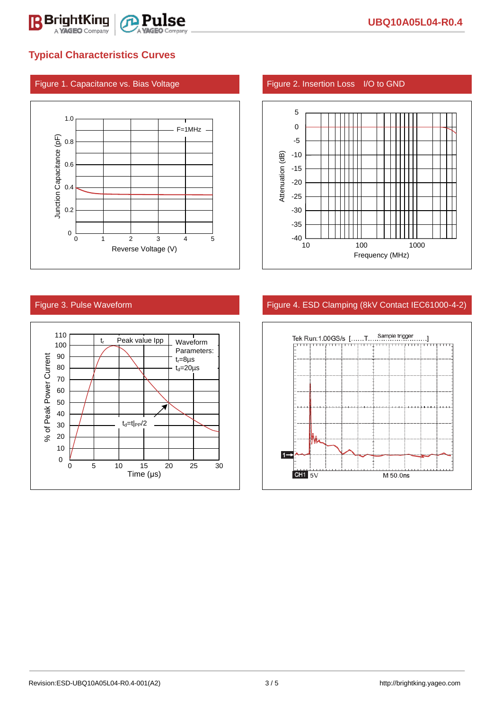

## **Typical Characteristics Curves**

### Figure 1. Capacitance vs. Bias Voltage Figure 2. Insertion Loss I/O to GND







### Figure 3. Pulse Waveform **Figure 4. ESD Clamping (8kV Contact IEC61000-4-2)**

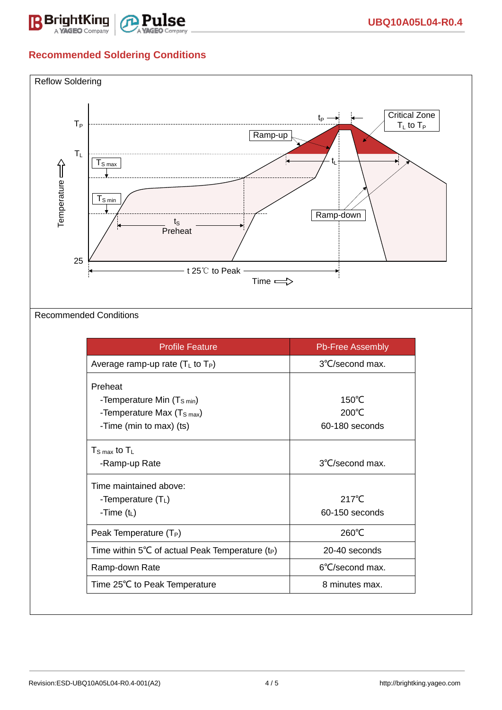

# **Recommended Soldering Conditions**